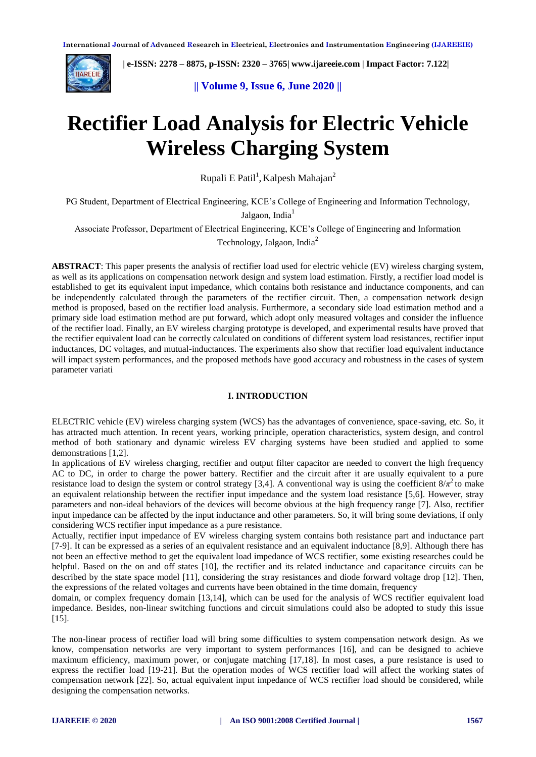

 **| e-ISSN: 2278 – 8875, p-ISSN: 2320 – 3765[| www.ijareeie.com](http://www.ijareeie.com/) | Impact Factor: 7.122|** 

**|| Volume 9, Issue 6, June 2020 ||** 

# **Rectifier Load Analysis for Electric Vehicle Wireless Charging System**

Rupali E Patil<sup>1</sup>, Kalpesh Mahajan<sup>2</sup>

PG Student, Department of Electrical Engineering, KCE's College of Engineering and Information Technology,

Jalgaon, India<sup>1</sup>

Associate Professor, Department of Electrical Engineering, KCE's College of Engineering and Information

Technology, Jalgaon, India<sup>2</sup>

**ABSTRACT**: This paper presents the analysis of rectifier load used for electric vehicle (EV) wireless charging system, as well as its applications on compensation network design and system load estimation. Firstly, a rectifier load model is established to get its equivalent input impedance, which contains both resistance and inductance components, and can be independently calculated through the parameters of the rectifier circuit. Then, a compensation network design method is proposed, based on the rectifier load analysis. Furthermore, a secondary side load estimation method and a primary side load estimation method are put forward, which adopt only measured voltages and consider the influence of the rectifier load. Finally, an EV wireless charging prototype is developed, and experimental results have proved that the rectifier equivalent load can be correctly calculated on conditions of different system load resistances, rectifier input inductances, DC voltages, and mutual-inductances. The experiments also show that rectifier load equivalent inductance will impact system performances, and the proposed methods have good accuracy and robustness in the cases of system parameter variati

#### **I. INTRODUCTION**

ELECTRIC vehicle (EV) wireless charging system (WCS) has the advantages of convenience, space-saving, etc. So, it has attracted much attention. In recent years, working principle, operation characteristics, system design, and control method of both stationary and dynamic wireless EV charging systems have been studied and applied to some demonstrations [1,2].

In applications of EV wireless charging, rectifier and output filter capacitor are needed to convert the high frequency AC to DC, in order to charge the power battery. Rectifier and the circuit after it are usually equivalent to a pure resistance load to design the system or control strategy [3,4]. A conventional way is using the coefficient  $8/\pi^2$  to make an equivalent relationship between the rectifier input impedance and the system load resistance [5,6]. However, stray parameters and non-ideal behaviors of the devices will become obvious at the high frequency range [7]. Also, rectifier input impedance can be affected by the input inductance and other parameters. So, it will bring some deviations, if only considering WCS rectifier input impedance as a pure resistance.

Actually, rectifier input impedance of EV wireless charging system contains both resistance part and inductance part [7-9]. It can be expressed as a series of an equivalent resistance and an equivalent inductance [8,9]. Although there has not been an effective method to get the equivalent load impedance of WCS rectifier, some existing researches could be helpful. Based on the on and off states [10], the rectifier and its related inductance and capacitance circuits can be described by the state space model [11], considering the stray resistances and diode forward voltage drop [12]. Then, the expressions of the related voltages and currents have been obtained in the time domain, frequency

domain, or complex frequency domain [13,14], which can be used for the analysis of WCS rectifier equivalent load impedance. Besides, non-linear switching functions and circuit simulations could also be adopted to study this issue [15].

The non-linear process of rectifier load will bring some difficulties to system compensation network design. As we know, compensation networks are very important to system performances [16], and can be designed to achieve maximum efficiency, maximum power, or conjugate matching [17,18]. In most cases, a pure resistance is used to express the rectifier load [19-21]. But the operation modes of WCS rectifier load will affect the working states of compensation network [22]. So, actual equivalent input impedance of WCS rectifier load should be considered, while designing the compensation networks.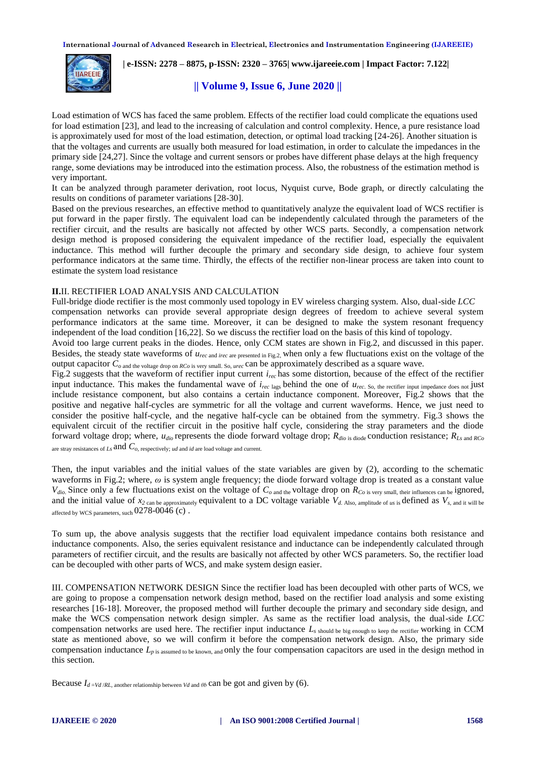

 **| e-ISSN: 2278 – 8875, p-ISSN: 2320 – 3765[| www.ijareeie.com](http://www.ijareeie.com/) | Impact Factor: 7.122|** 

## **|| Volume 9, Issue 6, June 2020 ||**

Load estimation of WCS has faced the same problem. Effects of the rectifier load could complicate the equations used for load estimation [23], and lead to the increasing of calculation and control complexity. Hence, a pure resistance load is approximately used for most of the load estimation, detection, or optimal load tracking [24-26]. Another situation is that the voltages and currents are usually both measured for load estimation, in order to calculate the impedances in the primary side [24,27]. Since the voltage and current sensors or probes have different phase delays at the high frequency range, some deviations may be introduced into the estimation process. Also, the robustness of the estimation method is very important.

It can be analyzed through parameter derivation, root locus, Nyquist curve, Bode graph, or directly calculating the results on conditions of parameter variations [28-30].

Based on the previous researches, an effective method to quantitatively analyze the equivalent load of WCS rectifier is put forward in the paper firstly. The equivalent load can be independently calculated through the parameters of the rectifier circuit, and the results are basically not affected by other WCS parts. Secondly, a compensation network design method is proposed considering the equivalent impedance of the rectifier load, especially the equivalent inductance. This method will further decouple the primary and secondary side design, to achieve four system performance indicators at the same time. Thirdly, the effects of the rectifier non-linear process are taken into count to estimate the system load resistance

#### **II.**II. RECTIFIER LOAD ANALYSIS AND CALCULATION

Full-bridge diode rectifier is the most commonly used topology in EV wireless charging system. Also, dual-side *LCC* compensation networks can provide several appropriate design degrees of freedom to achieve several system performance indicators at the same time. Moreover, it can be designed to make the system resonant frequency independent of the load condition [16,22]. So we discuss the rectifier load on the basis of this kind of topology.

Avoid too large current peaks in the diodes. Hence, only CCM states are shown in Fig.2, and discussed in this paper. Besides, the steady state waveforms of  $u_{rec}$  and *irec* are presented in Fig.2, when only a few fluctuations exist on the voltage of the output capacitor *Co* and the voltage drop on *RCo* is very small. So, *urec* can be approximately described as a square wave.

Fig.2 suggests that the waveform of rectifier input current *irec* has some distortion, because of the effect of the rectifier input inductance. This makes the fundamental wave of  $i_{rec \text{ lags}}$  behind the one of  $u_{rec. So, the rectifier input impedance does not just}$ include resistance component, but also contains a certain inductance component. Moreover, Fig.2 shows that the positive and negative half-cycles are symmetric for all the voltage and current waveforms. Hence, we just need to consider the positive half-cycle, and the negative half-cycle can be obtained from the symmetry. Fig.3 shows the equivalent circuit of the rectifier circuit in the positive half cycle, considering the stray parameters and the diode forward voltage drop; where,  $u_{di\phi}$  represents the diode forward voltage drop;  $R_{di\phi}$  is diode conduction resistance;  $R_{Ls}$  and  $R_{Co}$ are stray resistances of *Ls* and *Co*, respectively; *ud* and *id* are load voltage and current.

Then, the input variables and the initial values of the state variables are given by (2), according to the schematic waveforms in Fig.2; where, *ω* is system angle frequency; the diode forward voltage drop is treated as a constant value  $V_{dio}$  Since only a few fluctuations exist on the voltage of  $C_{o}$  and the voltage drop on  $R_{Co}$  is very small, their influences can be ignored, and the initial value of  $x_2$  can be approximately equivalent to a DC voltage variable  $V_{d.$  Also, amplitude of *us* is defined as  $V_{s, \text{ and it will be}}$ affected by WCS parameters, such  $0278-0046$  (c).

To sum up, the above analysis suggests that the rectifier load equivalent impedance contains both resistance and inductance components. Also, the series equivalent resistance and inductance can be independently calculated through parameters of rectifier circuit, and the results are basically not affected by other WCS parameters. So, the rectifier load can be decoupled with other parts of WCS, and make system design easier.

III. COMPENSATION NETWORK DESIGN Since the rectifier load has been decoupled with other parts of WCS, we are going to propose a compensation network design method, based on the rectifier load analysis and some existing researches [16-18]. Moreover, the proposed method will further decouple the primary and secondary side design, and make the WCS compensation network design simpler. As same as the rectifier load analysis, the dual-side *LCC*  compensation networks are used here. The rectifier input inductance *Ls* should be big enough to keep the rectifier working in CCM state as mentioned above, so we will confirm it before the compensation network design. Also, the primary side compensation inductance  $L_{p \text{ is assumed to be known, and}}$  only the four compensation capacitors are used in the design method in this section.

Because  $I_{d=Vd/RL}$ , another relationship between *Vd* and  $\theta b$  **can be got and given by (6).**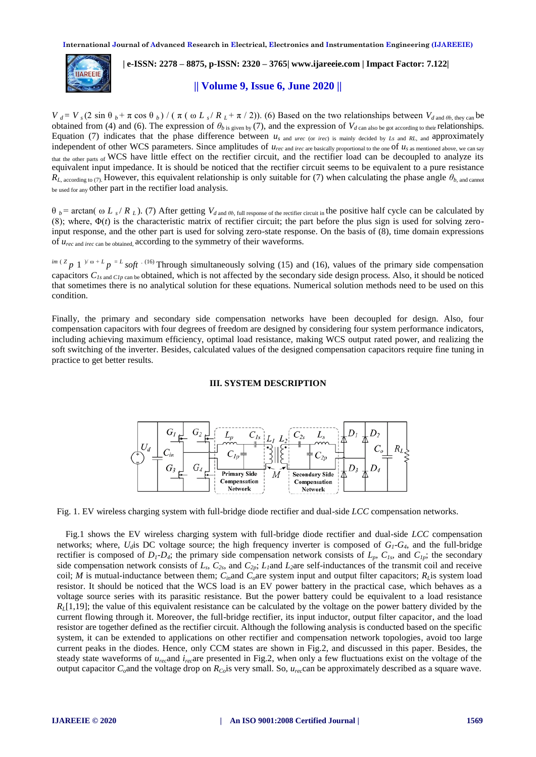

# **| e-ISSN: 2278 – 8875, p-ISSN: 2320 – 3765[| www.ijareeie.com](http://www.ijareeie.com/) | Impact Factor: 7.122|**

## **|| Volume 9, Issue 6, June 2020 ||**

 $V_d = V_s (2 \sin \theta_b + \pi \cos \theta_b) / (\pi (\omega L_s / R_L + \pi / 2))$ . (6) Based on the two relationships between  $V_{d \text{ and } \theta_b, \text{ they can}}$  be obtained from (4) and (6). The expression of  $\theta_{b}$  is given by (7), and the expression of  $V_{d}$  can also be got according to their relationships. Equation (7) indicates that the phase difference between  $u_s$  and *urec* (or *irec*) is mainly decided by *Ls* and *RL*, and approximately independent of other WCS parameters. Since amplitudes of  $u_{rec}$  and *irec* are basically proportional to the one <sup>of  $u_s$ </sup> as mentioned above, we can say that the other parts of WCS have little effect on the rectifier circuit, and the rectifier load can be decoupled to analyze its equivalent input impedance. It is should be noticed that the rectifier circuit seems to be equivalent to a pure resistance  $R_L$ , according to (7). However, this equivalent relationship is only suitable for (7) when calculating the phase angle  $\theta_{b}$ , and cannot be used for any other part in the rectifier load analysis.

 $θ$  *b* = arctan( ω *L<sub>s</sub>* / *R<sub>L</sub>*). (7) After getting  $V_{d}$  and  $θ$ , full response of the rectifier circuit in the positive half cycle can be calculated by (8); where,  $\Phi(t)$  is the characteristic matrix of rectifier circuit; the part before the plus sign is used for solving zeroinput response, and the other part is used for solving zero-state response. On the basis of (8), time domain expressions of *urec* and *irec* can be obtained, according to the symmetry of their waveforms.

 $e^{im(Z}p\ 1^{(\gamma_0+L)}p^{-L}$  *soft*  $\cdot$  (16) Through simultaneously solving (15) and (16), values of the primary side compensation capacitors  $C_{Is \text{ and } Clp \text{ can be obtained, which is not affected by the secondary side design process. Also, it should be noticed$ that sometimes there is no analytical solution for these equations. Numerical solution methods need to be used on this condition.

Finally, the primary and secondary side compensation networks have been decoupled for design. Also, four compensation capacitors with four degrees of freedom are designed by considering four system performance indicators, including achieving maximum efficiency, optimal load resistance, making WCS output rated power, and realizing the soft switching of the inverter. Besides, calculated values of the designed compensation capacitors require fine tuning in practice to get better results.

#### **III. SYSTEM DESCRIPTION**



Fig. 1. EV wireless charging system with full-bridge diode rectifier and dual-side *LCC* compensation networks.

Fig.1 shows the EV wireless charging system with full-bridge diode rectifier and dual-side *LCC* compensation networks; where,  $U_d$  is DC voltage source; the high frequency inverter is composed of  $G_l$ - $G_4$ , and the full-bridge rectifier is composed of  $D_1$ - $D_4$ ; the primary side compensation network consists of  $L_p$ ,  $C_{Is}$ , and  $C_{Ip}$ ; the secondary side compensation network consists of  $L_s$ ,  $C_{2s}$ , and  $C_{2p}$ ;  $L_l$  and  $L_2$  are self-inductances of the transmit coil and receive coil; *M* is mutual-inductance between them;  $C_{in}$  and  $C_{o}$  are system input and output filter capacitors;  $R_{L}$ is system load resistor. It should be noticed that the WCS load is an EV power battery in the practical case, which behaves as a voltage source series with its parasitic resistance. But the power battery could be equivalent to a load resistance  $R<sub>L</sub>[1,19]$ ; the value of this equivalent resistance can be calculated by the voltage on the power battery divided by the current flowing through it. Moreover, the full-bridge rectifier, its input inductor, output filter capacitor, and the load resistor are together defined as the rectifier circuit. Although the following analysis is conducted based on the specific system, it can be extended to applications on other rectifier and compensation network topologies, avoid too large current peaks in the diodes. Hence, only CCM states are shown in Fig.2, and discussed in this paper. Besides, the steady state waveforms of *urec*and *irec*are presented in Fig.2, when only a few fluctuations exist on the voltage of the output capacitor  $C_o$  and the voltage drop on  $R_{Co}$  is very small. So,  $u_{re}$  can be approximately described as a square wave.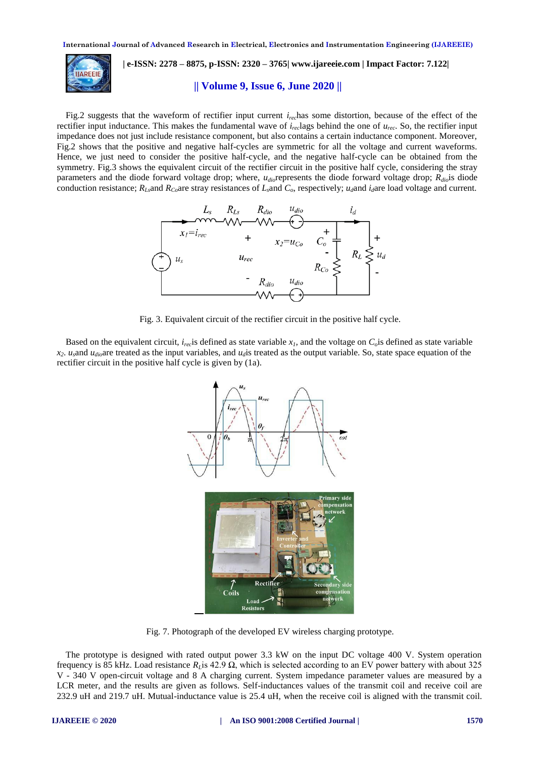

 **| e-ISSN: 2278 – 8875, p-ISSN: 2320 – 3765[| www.ijareeie.com](http://www.ijareeie.com/) | Impact Factor: 7.122|** 

## **|| Volume 9, Issue 6, June 2020 ||**

Fig.2 suggests that the waveform of rectifier input current *irec*has some distortion, because of the effect of the rectifier input inductance. This makes the fundamental wave of *irec*lags behind the one of *urec*. So, the rectifier input impedance does not just include resistance component, but also contains a certain inductance component. Moreover, Fig.2 shows that the positive and negative half-cycles are symmetric for all the voltage and current waveforms. Hence, we just need to consider the positive half-cycle, and the negative half-cycle can be obtained from the symmetry. Fig.3 shows the equivalent circuit of the rectifier circuit in the positive half cycle, considering the stray parameters and the diode forward voltage drop; where, *udio*represents the diode forward voltage drop; *Rdio*is diode conduction resistance;  $R_{Ls}$ and  $R_{Co}$ are stray resistances of  $L_s$ and  $C_o$ , respectively;  $u_d$ and  $i_d$ are load voltage and current.



Fig. 3. Equivalent circuit of the rectifier circuit in the positive half cycle.

Based on the equivalent circuit,  $i_{rec}$  is defined as state variable  $x_i$ , and the voltage on  $C_0$  is defined as state variable  $x_2$ . *u*<sub>*dio*</sub>are treated as the input variables, and  $u_d$  is treated as the output variable. So, state space equation of the rectifier circuit in the positive half cycle is given by (1a).



Fig. 7. Photograph of the developed EV wireless charging prototype.

The prototype is designed with rated output power 3.3 kW on the input DC voltage 400 V. System operation frequency is 85 kHz. Load resistance  $R_L$  is 42.9  $\Omega$ , which is selected according to an EV power battery with about 325 V - 340 V open-circuit voltage and 8 A charging current. System impedance parameter values are measured by a LCR meter, and the results are given as follows. Self-inductances values of the transmit coil and receive coil are 232.9 uH and 219.7 uH. Mutual-inductance value is 25.4 uH, when the receive coil is aligned with the transmit coil.